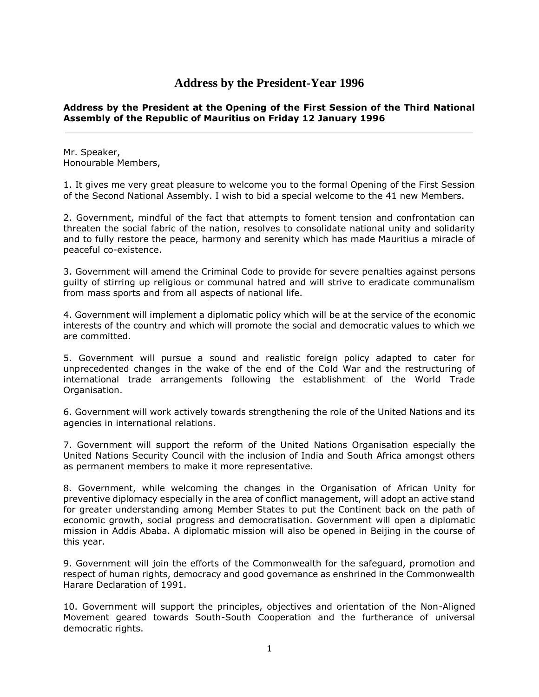# **Address by the President-Year 1996**

# **Address by the President at the Opening of the First Session of the Third National Assembly of the Republic of Mauritius on Friday 12 January 1996**

Mr. Speaker, Honourable Members,

1. It gives me very great pleasure to welcome you to the formal Opening of the First Session of the Second National Assembly. I wish to bid a special welcome to the 41 new Members.

2. Government, mindful of the fact that attempts to foment tension and confrontation can threaten the social fabric of the nation, resolves to consolidate national unity and solidarity and to fully restore the peace, harmony and serenity which has made Mauritius a miracle of peaceful co-existence.

3. Government will amend the Criminal Code to provide for severe penalties against persons guilty of stirring up religious or communal hatred and will strive to eradicate communalism from mass sports and from all aspects of national life.

4. Government will implement a diplomatic policy which will be at the service of the economic interests of the country and which will promote the social and democratic values to which we are committed.

5. Government will pursue a sound and realistic foreign policy adapted to cater for unprecedented changes in the wake of the end of the Cold War and the restructuring of international trade arrangements following the establishment of the World Trade Organisation.

6. Government will work actively towards strengthening the role of the United Nations and its agencies in international relations.

7. Government will support the reform of the United Nations Organisation especially the United Nations Security Council with the inclusion of India and South Africa amongst others as permanent members to make it more representative.

8. Government, while welcoming the changes in the Organisation of African Unity for preventive diplomacy especially in the area of conflict management, will adopt an active stand for greater understanding among Member States to put the Continent back on the path of economic growth, social progress and democratisation. Government will open a diplomatic mission in Addis Ababa. A diplomatic mission will also be opened in Beijing in the course of this year.

9. Government will join the efforts of the Commonwealth for the safeguard, promotion and respect of human rights, democracy and good governance as enshrined in the Commonwealth Harare Declaration of 1991.

10. Government will support the principles, objectives and orientation of the Non-Aligned Movement geared towards South-South Cooperation and the furtherance of universal democratic rights.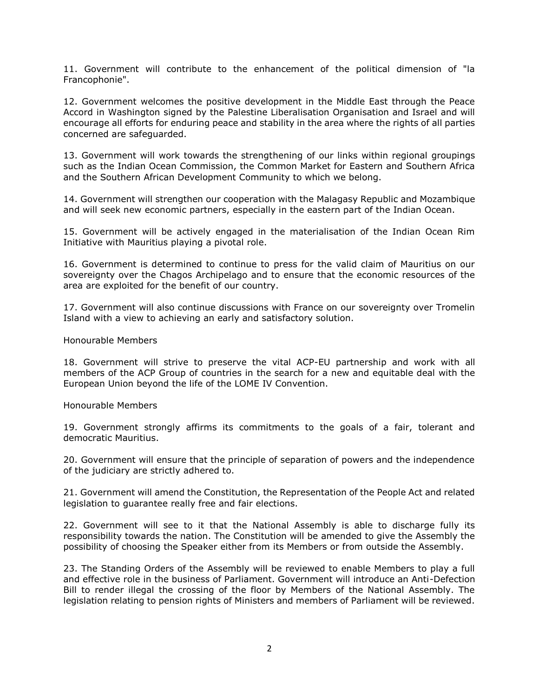11. Government will contribute to the enhancement of the political dimension of "la Francophonie".

12. Government welcomes the positive development in the Middle East through the Peace Accord in Washington signed by the Palestine Liberalisation Organisation and Israel and will encourage all efforts for enduring peace and stability in the area where the rights of all parties concerned are safeguarded.

13. Government will work towards the strengthening of our links within regional groupings such as the Indian Ocean Commission, the Common Market for Eastern and Southern Africa and the Southern African Development Community to which we belong.

14. Government will strengthen our cooperation with the Malagasy Republic and Mozambique and will seek new economic partners, especially in the eastern part of the Indian Ocean.

15. Government will be actively engaged in the materialisation of the Indian Ocean Rim Initiative with Mauritius playing a pivotal role.

16. Government is determined to continue to press for the valid claim of Mauritius on our sovereignty over the Chagos Archipelago and to ensure that the economic resources of the area are exploited for the benefit of our country.

17. Government will also continue discussions with France on our sovereignty over Tromelin Island with a view to achieving an early and satisfactory solution.

#### Honourable Members

18. Government will strive to preserve the vital ACP-EU partnership and work with all members of the ACP Group of countries in the search for a new and equitable deal with the European Union beyond the life of the LOME IV Convention.

#### Honourable Members

19. Government strongly affirms its commitments to the goals of a fair, tolerant and democratic Mauritius.

20. Government will ensure that the principle of separation of powers and the independence of the judiciary are strictly adhered to.

21. Government will amend the Constitution, the Representation of the People Act and related legislation to guarantee really free and fair elections.

22. Government will see to it that the National Assembly is able to discharge fully its responsibility towards the nation. The Constitution will be amended to give the Assembly the possibility of choosing the Speaker either from its Members or from outside the Assembly.

23. The Standing Orders of the Assembly will be reviewed to enable Members to play a full and effective role in the business of Parliament. Government will introduce an Anti-Defection Bill to render illegal the crossing of the floor by Members of the National Assembly. The legislation relating to pension rights of Ministers and members of Parliament will be reviewed.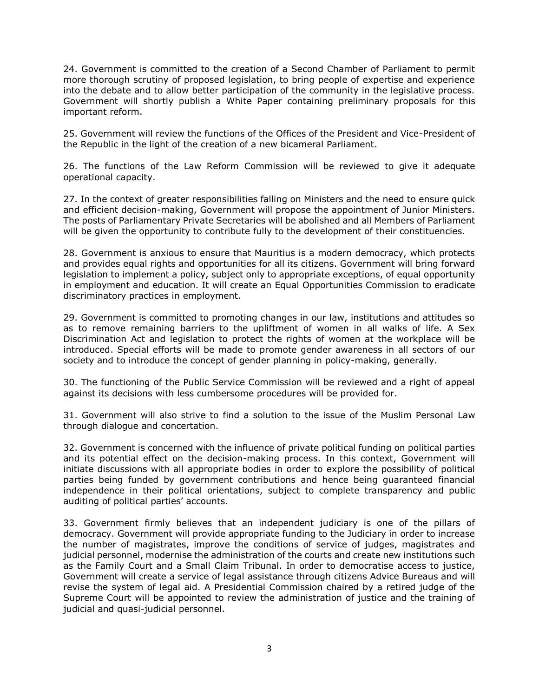24. Government is committed to the creation of a Second Chamber of Parliament to permit more thorough scrutiny of proposed legislation, to bring people of expertise and experience into the debate and to allow better participation of the community in the legislative process. Government will shortly publish a White Paper containing preliminary proposals for this important reform.

25. Government will review the functions of the Offices of the President and Vice-President of the Republic in the light of the creation of a new bicameral Parliament.

26. The functions of the Law Reform Commission will be reviewed to give it adequate operational capacity.

27. In the context of greater responsibilities falling on Ministers and the need to ensure quick and efficient decision-making, Government will propose the appointment of Junior Ministers. The posts of Parliamentary Private Secretaries will be abolished and all Members of Parliament will be given the opportunity to contribute fully to the development of their constituencies.

28. Government is anxious to ensure that Mauritius is a modern democracy, which protects and provides equal rights and opportunities for all its citizens. Government will bring forward legislation to implement a policy, subject only to appropriate exceptions, of equal opportunity in employment and education. It will create an Equal Opportunities Commission to eradicate discriminatory practices in employment.

29. Government is committed to promoting changes in our law, institutions and attitudes so as to remove remaining barriers to the upliftment of women in all walks of life. A Sex Discrimination Act and legislation to protect the rights of women at the workplace will be introduced. Special efforts will be made to promote gender awareness in all sectors of our society and to introduce the concept of gender planning in policy-making, generally.

30. The functioning of the Public Service Commission will be reviewed and a right of appeal against its decisions with less cumbersome procedures will be provided for.

31. Government will also strive to find a solution to the issue of the Muslim Personal Law through dialogue and concertation.

32. Government is concerned with the influence of private political funding on political parties and its potential effect on the decision-making process. In this context, Government will initiate discussions with all appropriate bodies in order to explore the possibility of political parties being funded by government contributions and hence being guaranteed financial independence in their political orientations, subject to complete transparency and public auditing of political parties' accounts.

33. Government firmly believes that an independent judiciary is one of the pillars of democracy. Government will provide appropriate funding to the Judiciary in order to increase the number of magistrates, improve the conditions of service of judges, magistrates and judicial personnel, modernise the administration of the courts and create new institutions such as the Family Court and a Small Claim Tribunal. In order to democratise access to justice, Government will create a service of legal assistance through citizens Advice Bureaus and will revise the system of legal aid. A Presidential Commission chaired by a retired judge of the Supreme Court will be appointed to review the administration of justice and the training of judicial and quasi-judicial personnel.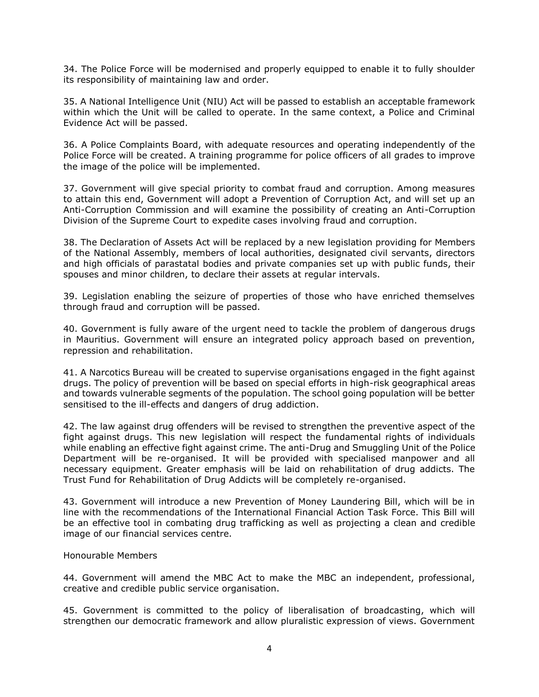34. The Police Force will be modernised and properly equipped to enable it to fully shoulder its responsibility of maintaining law and order.

35. A National Intelligence Unit (NIU) Act will be passed to establish an acceptable framework within which the Unit will be called to operate. In the same context, a Police and Criminal Evidence Act will be passed.

36. A Police Complaints Board, with adequate resources and operating independently of the Police Force will be created. A training programme for police officers of all grades to improve the image of the police will be implemented.

37. Government will give special priority to combat fraud and corruption. Among measures to attain this end, Government will adopt a Prevention of Corruption Act, and will set up an Anti-Corruption Commission and will examine the possibility of creating an Anti-Corruption Division of the Supreme Court to expedite cases involving fraud and corruption.

38. The Declaration of Assets Act will be replaced by a new legislation providing for Members of the National Assembly, members of local authorities, designated civil servants, directors and high officials of parastatal bodies and private companies set up with public funds, their spouses and minor children, to declare their assets at regular intervals.

39. Legislation enabling the seizure of properties of those who have enriched themselves through fraud and corruption will be passed.

40. Government is fully aware of the urgent need to tackle the problem of dangerous drugs in Mauritius. Government will ensure an integrated policy approach based on prevention, repression and rehabilitation.

41. A Narcotics Bureau will be created to supervise organisations engaged in the fight against drugs. The policy of prevention will be based on special efforts in high-risk geographical areas and towards vulnerable segments of the population. The school going population will be better sensitised to the ill-effects and dangers of drug addiction.

42. The law against drug offenders will be revised to strengthen the preventive aspect of the fight against drugs. This new legislation will respect the fundamental rights of individuals while enabling an effective fight against crime. The anti-Drug and Smuggling Unit of the Police Department will be re-organised. It will be provided with specialised manpower and all necessary equipment. Greater emphasis will be laid on rehabilitation of drug addicts. The Trust Fund for Rehabilitation of Drug Addicts will be completely re-organised.

43. Government will introduce a new Prevention of Money Laundering Bill, which will be in line with the recommendations of the International Financial Action Task Force. This Bill will be an effective tool in combating drug trafficking as well as projecting a clean and credible image of our financial services centre.

## Honourable Members

44. Government will amend the MBC Act to make the MBC an independent, professional, creative and credible public service organisation.

45. Government is committed to the policy of liberalisation of broadcasting, which will strengthen our democratic framework and allow pluralistic expression of views. Government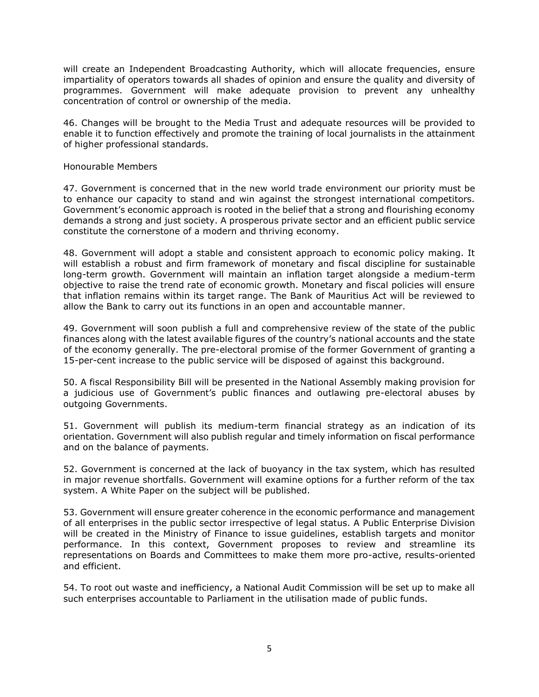will create an Independent Broadcasting Authority, which will allocate frequencies, ensure impartiality of operators towards all shades of opinion and ensure the quality and diversity of programmes. Government will make adequate provision to prevent any unhealthy concentration of control or ownership of the media.

46. Changes will be brought to the Media Trust and adequate resources will be provided to enable it to function effectively and promote the training of local journalists in the attainment of higher professional standards.

#### Honourable Members

47. Government is concerned that in the new world trade environment our priority must be to enhance our capacity to stand and win against the strongest international competitors. Government's economic approach is rooted in the belief that a strong and flourishing economy demands a strong and just society. A prosperous private sector and an efficient public service constitute the cornerstone of a modern and thriving economy.

48. Government will adopt a stable and consistent approach to economic policy making. It will establish a robust and firm framework of monetary and fiscal discipline for sustainable long-term growth. Government will maintain an inflation target alongside a medium-term objective to raise the trend rate of economic growth. Monetary and fiscal policies will ensure that inflation remains within its target range. The Bank of Mauritius Act will be reviewed to allow the Bank to carry out its functions in an open and accountable manner.

49. Government will soon publish a full and comprehensive review of the state of the public finances along with the latest available figures of the country's national accounts and the state of the economy generally. The pre-electoral promise of the former Government of granting a 15-per-cent increase to the public service will be disposed of against this background.

50. A fiscal Responsibility Bill will be presented in the National Assembly making provision for a judicious use of Government's public finances and outlawing pre-electoral abuses by outgoing Governments.

51. Government will publish its medium-term financial strategy as an indication of its orientation. Government will also publish regular and timely information on fiscal performance and on the balance of payments.

52. Government is concerned at the lack of buoyancy in the tax system, which has resulted in major revenue shortfalls. Government will examine options for a further reform of the tax system. A White Paper on the subject will be published.

53. Government will ensure greater coherence in the economic performance and management of all enterprises in the public sector irrespective of legal status. A Public Enterprise Division will be created in the Ministry of Finance to issue guidelines, establish targets and monitor performance. In this context, Government proposes to review and streamline its representations on Boards and Committees to make them more pro-active, results-oriented and efficient.

54. To root out waste and inefficiency, a National Audit Commission will be set up to make all such enterprises accountable to Parliament in the utilisation made of public funds.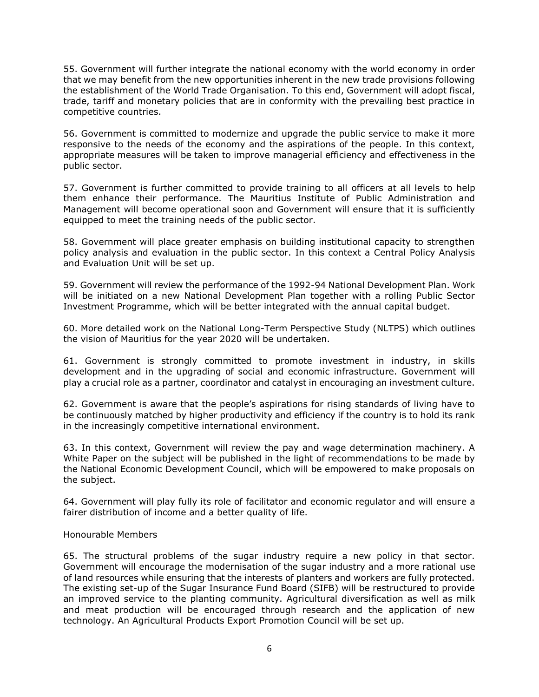55. Government will further integrate the national economy with the world economy in order that we may benefit from the new opportunities inherent in the new trade provisions following the establishment of the World Trade Organisation. To this end, Government will adopt fiscal, trade, tariff and monetary policies that are in conformity with the prevailing best practice in competitive countries.

56. Government is committed to modernize and upgrade the public service to make it more responsive to the needs of the economy and the aspirations of the people. In this context, appropriate measures will be taken to improve managerial efficiency and effectiveness in the public sector.

57. Government is further committed to provide training to all officers at all levels to help them enhance their performance. The Mauritius Institute of Public Administration and Management will become operational soon and Government will ensure that it is sufficiently equipped to meet the training needs of the public sector.

58. Government will place greater emphasis on building institutional capacity to strengthen policy analysis and evaluation in the public sector. In this context a Central Policy Analysis and Evaluation Unit will be set up.

59. Government will review the performance of the 1992-94 National Development Plan. Work will be initiated on a new National Development Plan together with a rolling Public Sector Investment Programme, which will be better integrated with the annual capital budget.

60. More detailed work on the National Long-Term Perspective Study (NLTPS) which outlines the vision of Mauritius for the year 2020 will be undertaken.

61. Government is strongly committed to promote investment in industry, in skills development and in the upgrading of social and economic infrastructure. Government will play a crucial role as a partner, coordinator and catalyst in encouraging an investment culture.

62. Government is aware that the people's aspirations for rising standards of living have to be continuously matched by higher productivity and efficiency if the country is to hold its rank in the increasingly competitive international environment.

63. In this context, Government will review the pay and wage determination machinery. A White Paper on the subject will be published in the light of recommendations to be made by the National Economic Development Council, which will be empowered to make proposals on the subject.

64. Government will play fully its role of facilitator and economic regulator and will ensure a fairer distribution of income and a better quality of life.

## Honourable Members

65. The structural problems of the sugar industry require a new policy in that sector. Government will encourage the modernisation of the sugar industry and a more rational use of land resources while ensuring that the interests of planters and workers are fully protected. The existing set-up of the Sugar Insurance Fund Board (SIFB) will be restructured to provide an improved service to the planting community. Agricultural diversification as well as milk and meat production will be encouraged through research and the application of new technology. An Agricultural Products Export Promotion Council will be set up.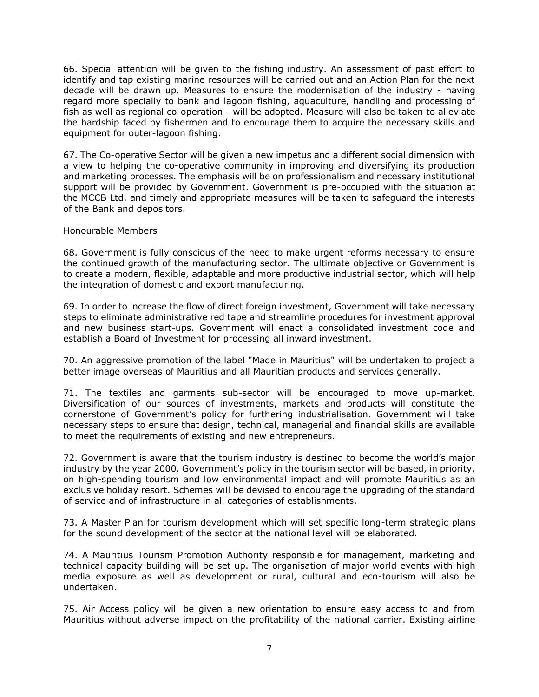66. Special attention will be given to the fishing industry. An assessment of past effort to identify and tap existing marine resources will be carried out and an Action Plan for the next decade will be drawn up. Measures to ensure the modernisation of the industry - having regard more specially to bank and lagoon fishing, aquaculture, handling and processing of fish as well as regional co-operation - will be adopted. Measure will also be taken to alleviate the hardship faced by fishermen and to encourage them to acquire the necessary skills and equipment for outer-lagoon fishing.

67. The Co-operative Sector will be given a new impetus and a different social dimension with a view to helping the co-operative community in improving and diversifying its production and marketing processes. The emphasis will be on professionalism and necessary institutional support will be provided by Government. Government is pre-occupied with the situation at the MCCB Ltd. and timely and appropriate measures will be taken to safeguard the interests of the Bank and depositors.

## Honourable Members

68. Government is fully conscious of the need to make urgent reforms necessary to ensure the continued growth of the manufacturing sector. The ultimate objective or Government is to create a modern, flexible, adaptable and more productive industrial sector, which will help the integration of domestic and export manufacturing.

69. In order to increase the flow of direct foreign investment, Government will take necessary steps to eliminate administrative red tape and streamline procedures for investment approval and new business start-ups. Government will enact a consolidated investment code and establish a Board of Investment for processing all inward investment.

70. An aggressive promotion of the label "Made in Mauritius" will be undertaken to project a better image overseas of Mauritius and all Mauritian products and services generally.

71. The textiles and garments sub-sector will be encouraged to move up-market. Diversification of our sources of investments, markets and products will constitute the cornerstone of Government's policy for furthering industrialisation. Government will take necessary steps to ensure that design, technical, managerial and financial skills are available to meet the requirements of existing and new entrepreneurs.

72. Government is aware that the tourism industry is destined to become the world's major industry by the year 2000. Government's policy in the tourism sector will be based, in priority, on high-spending tourism and low environmental impact and will promote Mauritius as an exclusive holiday resort. Schemes will be devised to encourage the upgrading of the standard of service and of infrastructure in all categories of establishments.

73. A Master Plan for tourism development which will set specific long-term strategic plans for the sound development of the sector at the national level will be elaborated.

74. A Mauritius Tourism Promotion Authority responsible for management, marketing and technical capacity building will be set up. The organisation of major world events with high media exposure as well as development or rural, cultural and eco-tourism will also be undertaken.

75. Air Access policy will be given a new orientation to ensure easy access to and from Mauritius without adverse impact on the profitability of the national carrier. Existing airline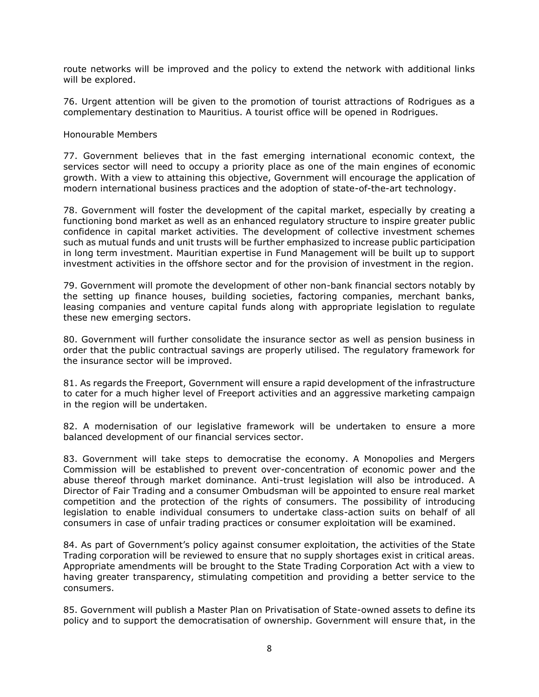route networks will be improved and the policy to extend the network with additional links will be explored.

76. Urgent attention will be given to the promotion of tourist attractions of Rodrigues as a complementary destination to Mauritius. A tourist office will be opened in Rodrigues.

#### Honourable Members

77. Government believes that in the fast emerging international economic context, the services sector will need to occupy a priority place as one of the main engines of economic growth. With a view to attaining this objective, Government will encourage the application of modern international business practices and the adoption of state-of-the-art technology.

78. Government will foster the development of the capital market, especially by creating a functioning bond market as well as an enhanced regulatory structure to inspire greater public confidence in capital market activities. The development of collective investment schemes such as mutual funds and unit trusts will be further emphasized to increase public participation in long term investment. Mauritian expertise in Fund Management will be built up to support investment activities in the offshore sector and for the provision of investment in the region.

79. Government will promote the development of other non-bank financial sectors notably by the setting up finance houses, building societies, factoring companies, merchant banks, leasing companies and venture capital funds along with appropriate legislation to regulate these new emerging sectors.

80. Government will further consolidate the insurance sector as well as pension business in order that the public contractual savings are properly utilised. The regulatory framework for the insurance sector will be improved.

81. As regards the Freeport, Government will ensure a rapid development of the infrastructure to cater for a much higher level of Freeport activities and an aggressive marketing campaign in the region will be undertaken.

82. A modernisation of our legislative framework will be undertaken to ensure a more balanced development of our financial services sector.

83. Government will take steps to democratise the economy. A Monopolies and Mergers Commission will be established to prevent over-concentration of economic power and the abuse thereof through market dominance. Anti-trust legislation will also be introduced. A Director of Fair Trading and a consumer Ombudsman will be appointed to ensure real market competition and the protection of the rights of consumers. The possibility of introducing legislation to enable individual consumers to undertake class-action suits on behalf of all consumers in case of unfair trading practices or consumer exploitation will be examined.

84. As part of Government's policy against consumer exploitation, the activities of the State Trading corporation will be reviewed to ensure that no supply shortages exist in critical areas. Appropriate amendments will be brought to the State Trading Corporation Act with a view to having greater transparency, stimulating competition and providing a better service to the consumers.

85. Government will publish a Master Plan on Privatisation of State-owned assets to define its policy and to support the democratisation of ownership. Government will ensure that, in the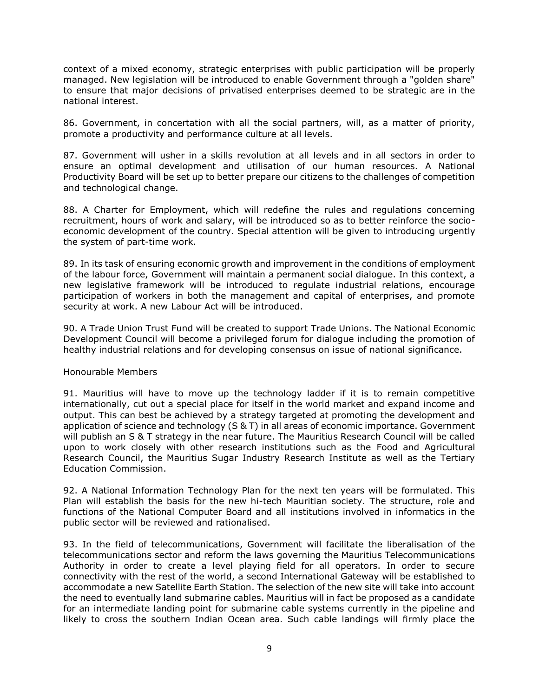context of a mixed economy, strategic enterprises with public participation will be properly managed. New legislation will be introduced to enable Government through a "golden share" to ensure that major decisions of privatised enterprises deemed to be strategic are in the national interest.

86. Government, in concertation with all the social partners, will, as a matter of priority, promote a productivity and performance culture at all levels.

87. Government will usher in a skills revolution at all levels and in all sectors in order to ensure an optimal development and utilisation of our human resources. A National Productivity Board will be set up to better prepare our citizens to the challenges of competition and technological change.

88. A Charter for Employment, which will redefine the rules and regulations concerning recruitment, hours of work and salary, will be introduced so as to better reinforce the socioeconomic development of the country. Special attention will be given to introducing urgently the system of part-time work.

89. In its task of ensuring economic growth and improvement in the conditions of employment of the labour force, Government will maintain a permanent social dialogue. In this context, a new legislative framework will be introduced to regulate industrial relations, encourage participation of workers in both the management and capital of enterprises, and promote security at work. A new Labour Act will be introduced.

90. A Trade Union Trust Fund will be created to support Trade Unions. The National Economic Development Council will become a privileged forum for dialogue including the promotion of healthy industrial relations and for developing consensus on issue of national significance.

## Honourable Members

91. Mauritius will have to move up the technology ladder if it is to remain competitive internationally, cut out a special place for itself in the world market and expand income and output. This can best be achieved by a strategy targeted at promoting the development and application of science and technology (S & T) in all areas of economic importance. Government will publish an S & T strategy in the near future. The Mauritius Research Council will be called upon to work closely with other research institutions such as the Food and Agricultural Research Council, the Mauritius Sugar Industry Research Institute as well as the Tertiary Education Commission.

92. A National Information Technology Plan for the next ten years will be formulated. This Plan will establish the basis for the new hi-tech Mauritian society. The structure, role and functions of the National Computer Board and all institutions involved in informatics in the public sector will be reviewed and rationalised.

93. In the field of telecommunications, Government will facilitate the liberalisation of the telecommunications sector and reform the laws governing the Mauritius Telecommunications Authority in order to create a level playing field for all operators. In order to secure connectivity with the rest of the world, a second International Gateway will be established to accommodate a new Satellite Earth Station. The selection of the new site will take into account the need to eventually land submarine cables. Mauritius will in fact be proposed as a candidate for an intermediate landing point for submarine cable systems currently in the pipeline and likely to cross the southern Indian Ocean area. Such cable landings will firmly place the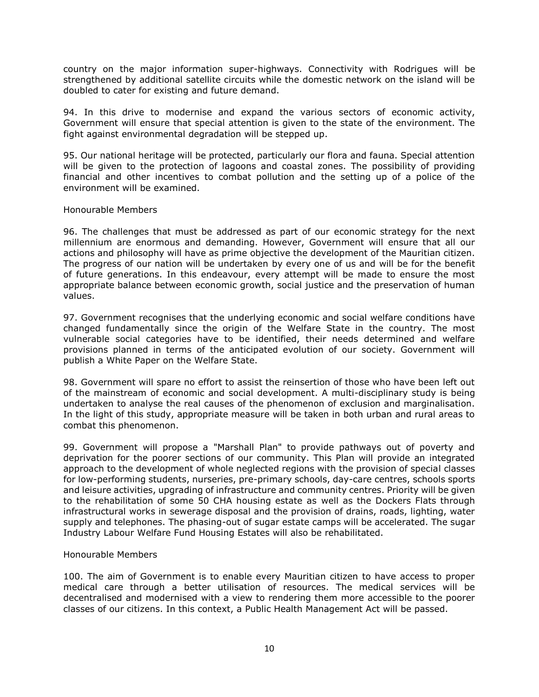country on the major information super-highways. Connectivity with Rodrigues will be strengthened by additional satellite circuits while the domestic network on the island will be doubled to cater for existing and future demand.

94. In this drive to modernise and expand the various sectors of economic activity, Government will ensure that special attention is given to the state of the environment. The fight against environmental degradation will be stepped up.

95. Our national heritage will be protected, particularly our flora and fauna. Special attention will be given to the protection of lagoons and coastal zones. The possibility of providing financial and other incentives to combat pollution and the setting up of a police of the environment will be examined.

## Honourable Members

96. The challenges that must be addressed as part of our economic strategy for the next millennium are enormous and demanding. However, Government will ensure that all our actions and philosophy will have as prime objective the development of the Mauritian citizen. The progress of our nation will be undertaken by every one of us and will be for the benefit of future generations. In this endeavour, every attempt will be made to ensure the most appropriate balance between economic growth, social justice and the preservation of human values.

97. Government recognises that the underlying economic and social welfare conditions have changed fundamentally since the origin of the Welfare State in the country. The most vulnerable social categories have to be identified, their needs determined and welfare provisions planned in terms of the anticipated evolution of our society. Government will publish a White Paper on the Welfare State.

98. Government will spare no effort to assist the reinsertion of those who have been left out of the mainstream of economic and social development. A multi-disciplinary study is being undertaken to analyse the real causes of the phenomenon of exclusion and marginalisation. In the light of this study, appropriate measure will be taken in both urban and rural areas to combat this phenomenon.

99. Government will propose a "Marshall Plan" to provide pathways out of poverty and deprivation for the poorer sections of our community. This Plan will provide an integrated approach to the development of whole neglected regions with the provision of special classes for low-performing students, nurseries, pre-primary schools, day-care centres, schools sports and leisure activities, upgrading of infrastructure and community centres. Priority will be given to the rehabilitation of some 50 CHA housing estate as well as the Dockers Flats through infrastructural works in sewerage disposal and the provision of drains, roads, lighting, water supply and telephones. The phasing-out of sugar estate camps will be accelerated. The sugar Industry Labour Welfare Fund Housing Estates will also be rehabilitated.

## Honourable Members

100. The aim of Government is to enable every Mauritian citizen to have access to proper medical care through a better utilisation of resources. The medical services will be decentralised and modernised with a view to rendering them more accessible to the poorer classes of our citizens. In this context, a Public Health Management Act will be passed.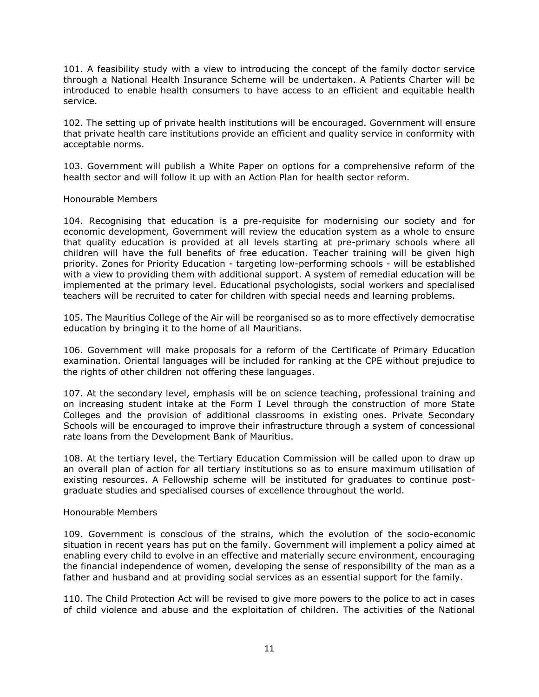101. A feasibility study with a view to introducing the concept of the family doctor service through a National Health Insurance Scheme will be undertaken. A Patients Charter will be introduced to enable health consumers to have access to an efficient and equitable health service.

102. The setting up of private health institutions will be encouraged. Government will ensure that private health care institutions provide an efficient and quality service in conformity with acceptable norms.

103. Government will publish a White Paper on options for a comprehensive reform of the health sector and will follow it up with an Action Plan for health sector reform.

#### Honourable Members

104. Recognising that education is a pre-requisite for modernising our society and for economic development, Government will review the education system as a whole to ensure that quality education is provided at all levels starting at pre-primary schools where all children will have the full benefits of free education. Teacher training will be given high priority. Zones for Priority Education - targeting low-performing schools - will be established with a view to providing them with additional support. A system of remedial education will be implemented at the primary level. Educational psychologists, social workers and specialised teachers will be recruited to cater for children with special needs and learning problems.

105. The Mauritius College of the Air will be reorganised so as to more effectively democratise education by bringing it to the home of all Mauritians.

106. Government will make proposals for a reform of the Certificate of Primary Education examination. Oriental languages will be included for ranking at the CPE without prejudice to the rights of other children not offering these languages.

107. At the secondary level, emphasis will be on science teaching, professional training and on increasing student intake at the Form I Level through the construction of more State Colleges and the provision of additional classrooms in existing ones. Private Secondary Schools will be encouraged to improve their infrastructure through a system of concessional rate loans from the Development Bank of Mauritius.

108. At the tertiary level, the Tertiary Education Commission will be called upon to draw up an overall plan of action for all tertiary institutions so as to ensure maximum utilisation of existing resources. A Fellowship scheme will be instituted for graduates to continue postgraduate studies and specialised courses of excellence throughout the world.

#### Honourable Members

109. Government is conscious of the strains, which the evolution of the socio-economic situation in recent years has put on the family. Government will implement a policy aimed at enabling every child to evolve in an effective and materially secure environment, encouraging the financial independence of women, developing the sense of responsibility of the man as a father and husband and at providing social services as an essential support for the family.

110. The Child Protection Act will be revised to give more powers to the police to act in cases of child violence and abuse and the exploitation of children. The activities of the National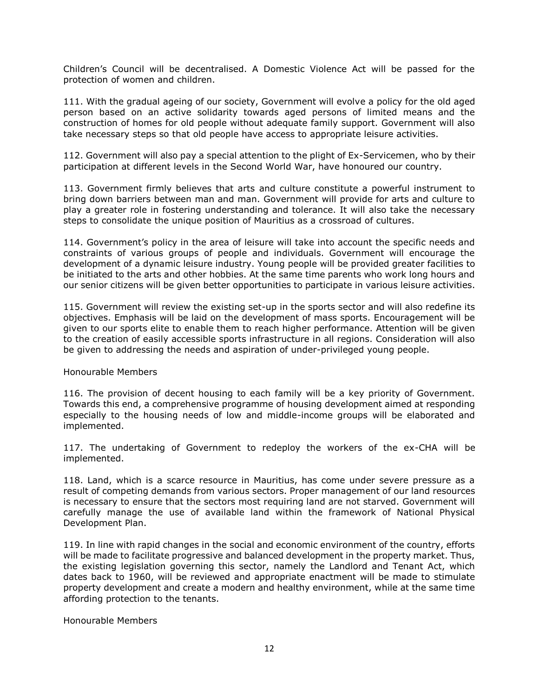Children's Council will be decentralised. A Domestic Violence Act will be passed for the protection of women and children.

111. With the gradual ageing of our society, Government will evolve a policy for the old aged person based on an active solidarity towards aged persons of limited means and the construction of homes for old people without adequate family support. Government will also take necessary steps so that old people have access to appropriate leisure activities.

112. Government will also pay a special attention to the plight of Ex-Servicemen, who by their participation at different levels in the Second World War, have honoured our country.

113. Government firmly believes that arts and culture constitute a powerful instrument to bring down barriers between man and man. Government will provide for arts and culture to play a greater role in fostering understanding and tolerance. It will also take the necessary steps to consolidate the unique position of Mauritius as a crossroad of cultures.

114. Government's policy in the area of leisure will take into account the specific needs and constraints of various groups of people and individuals. Government will encourage the development of a dynamic leisure industry. Young people will be provided greater facilities to be initiated to the arts and other hobbies. At the same time parents who work long hours and our senior citizens will be given better opportunities to participate in various leisure activities.

115. Government will review the existing set-up in the sports sector and will also redefine its objectives. Emphasis will be laid on the development of mass sports. Encouragement will be given to our sports elite to enable them to reach higher performance. Attention will be given to the creation of easily accessible sports infrastructure in all regions. Consideration will also be given to addressing the needs and aspiration of under-privileged young people.

#### Honourable Members

116. The provision of decent housing to each family will be a key priority of Government. Towards this end, a comprehensive programme of housing development aimed at responding especially to the housing needs of low and middle-income groups will be elaborated and implemented.

117. The undertaking of Government to redeploy the workers of the ex-CHA will be implemented.

118. Land, which is a scarce resource in Mauritius, has come under severe pressure as a result of competing demands from various sectors. Proper management of our land resources is necessary to ensure that the sectors most requiring land are not starved. Government will carefully manage the use of available land within the framework of National Physical Development Plan.

119. In line with rapid changes in the social and economic environment of the country, efforts will be made to facilitate progressive and balanced development in the property market. Thus, the existing legislation governing this sector, namely the Landlord and Tenant Act, which dates back to 1960, will be reviewed and appropriate enactment will be made to stimulate property development and create a modern and healthy environment, while at the same time affording protection to the tenants.

Honourable Members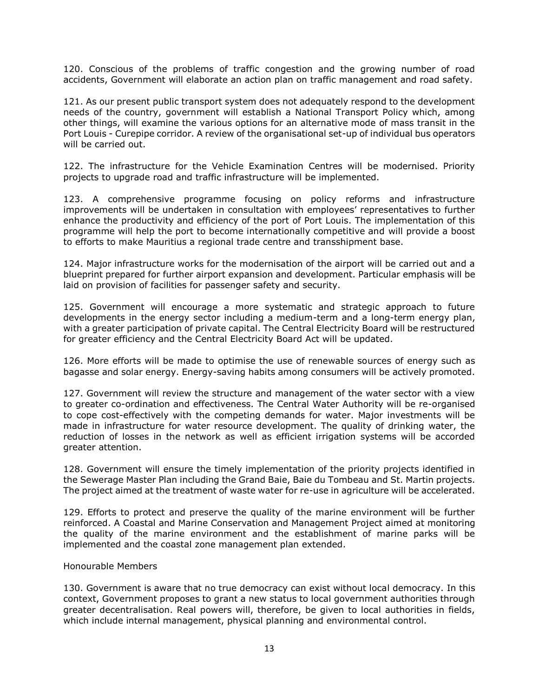120. Conscious of the problems of traffic congestion and the growing number of road accidents, Government will elaborate an action plan on traffic management and road safety.

121. As our present public transport system does not adequately respond to the development needs of the country, government will establish a National Transport Policy which, among other things, will examine the various options for an alternative mode of mass transit in the Port Louis - Curepipe corridor. A review of the organisational set-up of individual bus operators will be carried out.

122. The infrastructure for the Vehicle Examination Centres will be modernised. Priority projects to upgrade road and traffic infrastructure will be implemented.

123. A comprehensive programme focusing on policy reforms and infrastructure improvements will be undertaken in consultation with employees' representatives to further enhance the productivity and efficiency of the port of Port Louis. The implementation of this programme will help the port to become internationally competitive and will provide a boost to efforts to make Mauritius a regional trade centre and transshipment base.

124. Major infrastructure works for the modernisation of the airport will be carried out and a blueprint prepared for further airport expansion and development. Particular emphasis will be laid on provision of facilities for passenger safety and security.

125. Government will encourage a more systematic and strategic approach to future developments in the energy sector including a medium-term and a long-term energy plan, with a greater participation of private capital. The Central Electricity Board will be restructured for greater efficiency and the Central Electricity Board Act will be updated.

126. More efforts will be made to optimise the use of renewable sources of energy such as bagasse and solar energy. Energy-saving habits among consumers will be actively promoted.

127. Government will review the structure and management of the water sector with a view to greater co-ordination and effectiveness. The Central Water Authority will be re-organised to cope cost-effectively with the competing demands for water. Major investments will be made in infrastructure for water resource development. The quality of drinking water, the reduction of losses in the network as well as efficient irrigation systems will be accorded greater attention.

128. Government will ensure the timely implementation of the priority projects identified in the Sewerage Master Plan including the Grand Baie, Baie du Tombeau and St. Martin projects. The project aimed at the treatment of waste water for re-use in agriculture will be accelerated.

129. Efforts to protect and preserve the quality of the marine environment will be further reinforced. A Coastal and Marine Conservation and Management Project aimed at monitoring the quality of the marine environment and the establishment of marine parks will be implemented and the coastal zone management plan extended.

## Honourable Members

130. Government is aware that no true democracy can exist without local democracy. In this context, Government proposes to grant a new status to local government authorities through greater decentralisation. Real powers will, therefore, be given to local authorities in fields, which include internal management, physical planning and environmental control.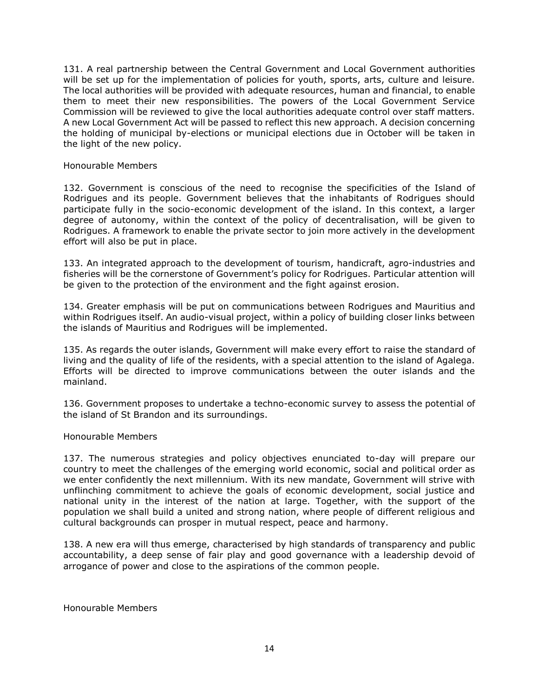131. A real partnership between the Central Government and Local Government authorities will be set up for the implementation of policies for youth, sports, arts, culture and leisure. The local authorities will be provided with adequate resources, human and financial, to enable them to meet their new responsibilities. The powers of the Local Government Service Commission will be reviewed to give the local authorities adequate control over staff matters. A new Local Government Act will be passed to reflect this new approach. A decision concerning the holding of municipal by-elections or municipal elections due in October will be taken in the light of the new policy.

#### Honourable Members

132. Government is conscious of the need to recognise the specificities of the Island of Rodrigues and its people. Government believes that the inhabitants of Rodrigues should participate fully in the socio-economic development of the island. In this context, a larger degree of autonomy, within the context of the policy of decentralisation, will be given to Rodrigues. A framework to enable the private sector to join more actively in the development effort will also be put in place.

133. An integrated approach to the development of tourism, handicraft, agro-industries and fisheries will be the cornerstone of Government's policy for Rodrigues. Particular attention will be given to the protection of the environment and the fight against erosion.

134. Greater emphasis will be put on communications between Rodrigues and Mauritius and within Rodrigues itself. An audio-visual project, within a policy of building closer links between the islands of Mauritius and Rodrigues will be implemented.

135. As regards the outer islands, Government will make every effort to raise the standard of living and the quality of life of the residents, with a special attention to the island of Agalega. Efforts will be directed to improve communications between the outer islands and the mainland.

136. Government proposes to undertake a techno-economic survey to assess the potential of the island of St Brandon and its surroundings.

## Honourable Members

137. The numerous strategies and policy objectives enunciated to-day will prepare our country to meet the challenges of the emerging world economic, social and political order as we enter confidently the next millennium. With its new mandate, Government will strive with unflinching commitment to achieve the goals of economic development, social justice and national unity in the interest of the nation at large. Together, with the support of the population we shall build a united and strong nation, where people of different religious and cultural backgrounds can prosper in mutual respect, peace and harmony.

138. A new era will thus emerge, characterised by high standards of transparency and public accountability, a deep sense of fair play and good governance with a leadership devoid of arrogance of power and close to the aspirations of the common people.

Honourable Members